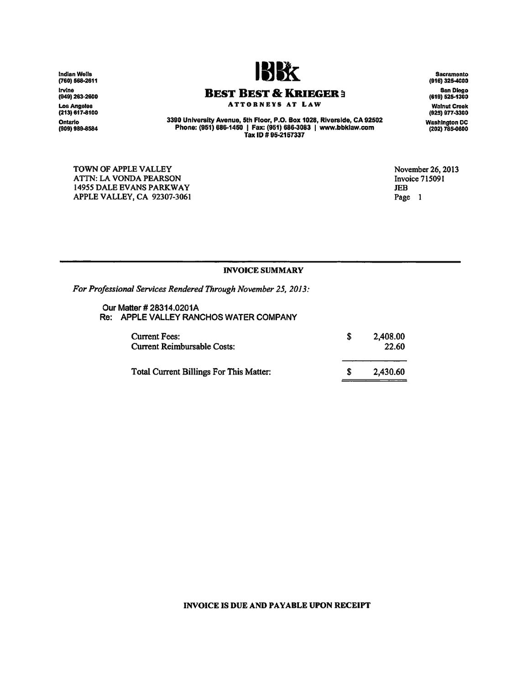Indian Wells<br>(760) 568-26 Irvine<br>(949) 263-260 Los Angeles<br>(213) 617-8100 Ontario<br>(909) 989-858



**BEST BEST** *Be* **KRIEGER ~** ATTORNEYS AT LAW

Sacramento<br>(916) 325-4000 San Diego (819) 526-1300 Walnut Creek (925) 977-3300 Washington DC (202) 785-0800

3390 University Avenue, 5th Floor, P.O. Box 1028, Riverside, CA 92502<br>Phone: (951) 686-1450 |Fax: (951) 686-3083 |[www.bbklaw.com](http://www.bbklaw.com)<br>Tax ID # 95-2157337

TOWN OF APPLE VALLEY ATTN: LA VONDA PEARSON *14955* DALE EVANS PARKWAY APPLE VALLEY, CA 92307·3061 November 26,2013 Invoice 715091 JEB Page 1

## INVOICE SUMMARY

*For Professional Services Rendered Through November* 25, *2013:*

Our Matter # 28314.0201A Re: APPLE VALLEY RANCHOS WATER COMPANY

| <b>Current Fees:</b><br><b>Current Reimbursable Costs:</b> | 2,408.00<br>22.60 |
|------------------------------------------------------------|-------------------|
| Total Current Billings For This Matter:                    | 2,430.60          |

## INVOICE IS DUE AND PAYABLE UPON RECEIPT